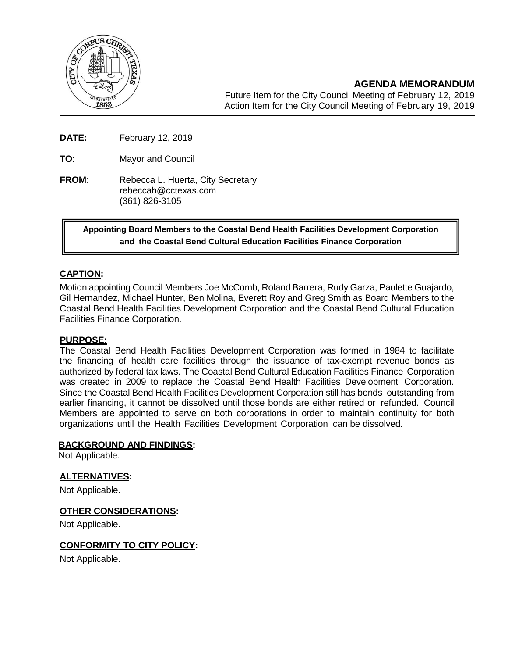

**AGENDA MEMORANDUM**

Future Item for the City Council Meeting of February 12, 2019 Action Item for the City Council Meeting of February 19, 2019

**DATE:** February 12, 2019

**TO**: Mayor and Council

**FROM:** Rebecca L. Huerta, City Secretary [rebeccah@cctexas.com](mailto:rebeccah@cctexas.com) (361) 826-3105

> **Appointing Board Members to the Coastal Bend Health Facilities Development Corporation and the Coastal Bend Cultural Education Facilities Finance Corporation**

## **CAPTION:**

Motion appointing Council Members Joe McComb, Roland Barrera, Rudy Garza, Paulette Guajardo, Gil Hernandez, Michael Hunter, Ben Molina, Everett Roy and Greg Smith as Board Members to the Coastal Bend Health Facilities Development Corporation and the Coastal Bend Cultural Education Facilities Finance Corporation.

### **PURPOSE:**

The Coastal Bend Health Facilities Development Corporation was formed in 1984 to facilitate the financing of health care facilities through the issuance of tax-exempt revenue bonds as authorized by federal tax laws. The Coastal Bend Cultural Education Facilities Finance Corporation was created in 2009 to replace the Coastal Bend Health Facilities Development Corporation. Since the Coastal Bend Health Facilities Development Corporation still has bonds outstanding from earlier financing, it cannot be dissolved until those bonds are either retired or refunded. Council Members are appointed to serve on both corporations in order to maintain continuity for both organizations until the Health Facilities Development Corporation can be dissolved.

#### **BACKGROUND AND FINDINGS:**

Not Applicable.

## **ALTERNATIVES:**

Not Applicable.

### **OTHER CONSIDERATIONS:**

Not Applicable.

### **CONFORMITY TO CITY POLICY:**

Not Applicable.